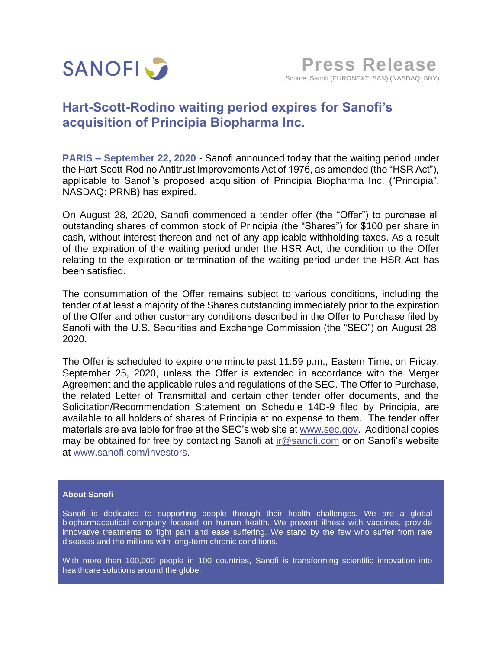

# **Hart-Scott-Rodino waiting period expires for Sanofi's acquisition of Principia Biopharma Inc.**

**PARIS – September 22, 2020** - Sanofi announced today that the waiting period under the Hart-Scott-Rodino Antitrust Improvements Act of 1976, as amended (the "HSR Act"), applicable to Sanofi's proposed acquisition of Principia Biopharma Inc. ("Principia", NASDAQ: PRNB) has expired.

On August 28, 2020, Sanofi commenced a tender offer (the "Offer") to purchase all outstanding shares of common stock of Principia (the "Shares") for \$100 per share in cash, without interest thereon and net of any applicable withholding taxes. As a result of the expiration of the waiting period under the HSR Act, the condition to the Offer relating to the expiration or termination of the waiting period under the HSR Act has been satisfied.

The consummation of the Offer remains subject to various conditions, including the tender of at least a majority of the Shares outstanding immediately prior to the expiration of the Offer and other customary conditions described in the Offer to Purchase filed by Sanofi with the U.S. Securities and Exchange Commission (the "SEC") on August 28, 2020.

The Offer is scheduled to expire one minute past 11:59 p.m., Eastern Time, on Friday, September 25, 2020, unless the Offer is extended in accordance with the Merger Agreement and the applicable rules and regulations of the SEC. The Offer to Purchase, the related Letter of Transmittal and certain other tender offer documents, and the Solicitation/Recommendation Statement on Schedule 14D-9 filed by Principia, are available to all holders of shares of Principia at no expense to them. The tender offer materials are available for free at the SEC's web site at [www.sec.gov.](http://www.sec.gov/) Additional copies may be obtained for free by contacting Sanofi at ir @sanofi.com or on Sanofi's website at [www.sanofi.com/investors](http://www.sanofi.com/investors).

## **About Sanofi**

Sanofi is dedicated to supporting people through their health challenges. We are a global biopharmaceutical company focused on human health. We prevent illness with vaccines, provide innovative treatments to fight pain and ease suffering. We stand by the few who suffer from rare diseases and the millions with long-term chronic conditions.

With more than 100,000 people in 100 countries, Sanofi is transforming scientific innovation into healthcare solutions around the globe.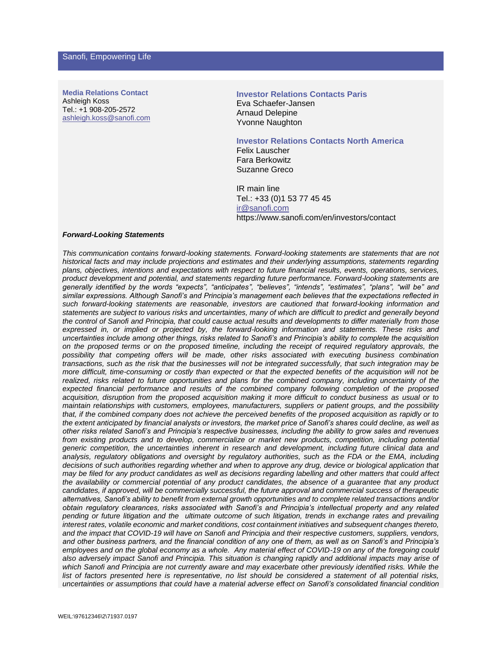Sanofi, Empowering Life

**Media Relations Contact** Ashleigh Koss Tel.: +1 908-205-2572 [ashleigh.koss@sanofi.com](mailto:ashleigh.koss@sanofi.com)

**Investor Relations Contacts Paris** Eva Schaefer-Jansen Arnaud Delepine Yvonne Naughton

## **Investor Relations Contacts North America**

Felix Lauscher Fara Berkowitz Suzanne Greco

IR main line Tel.: +33 (0)1 53 77 45 45 [ir@sanofi.com](mailto:ir@sanofi.com) https://www.sanofi.com/en/investors/contact

#### *Forward-Looking Statements*

*This communication contains forward-looking statements. Forward-looking statements are statements that are not historical facts and may include projections and estimates and their underlying assumptions, statements regarding plans, objectives, intentions and expectations with respect to future financial results, events, operations, services, product development and potential, and statements regarding future performance. Forward-looking statements are generally identified by the words "expects", "anticipates", "believes", "intends", "estimates", "plans", "will be" and similar expressions. Although Sanofi's and Principia's management each believes that the expectations reflected in such forward-looking statements are reasonable, investors are cautioned that forward-looking information and statements are subject to various risks and uncertainties, many of which are difficult to predict and generally beyond the control of Sanofi and Principia, that could cause actual results and developments to differ materially from those expressed in, or implied or projected by, the forward-looking information and statements. These risks and uncertainties include among other things, risks related to Sanofi's and Principia's ability to complete the acquisition on the proposed terms or on the proposed timeline, including the receipt of required regulatory approvals, the possibility that competing offers will be made, other risks associated with executing business combination transactions, such as the risk that the businesses will not be integrated successfully, that such integration may be more difficult, time-consuming or costly than expected or that the expected benefits of the acquisition will not be realized, risks related to future opportunities and plans for the combined company, including uncertainty of the expected financial performance and results of the combined company following completion of the proposed acquisition, disruption from the proposed acquisition making it more difficult to conduct business as usual or to maintain relationships with customers, employees, manufacturers, suppliers or patient groups, and the possibility that, if the combined company does not achieve the perceived benefits of the proposed acquisition as rapidly or to the extent anticipated by financial analysts or investors, the market price of Sanofi's shares could decline, as well as other risks related Sanofi's and Principia's respective businesses, including the ability to grow sales and revenues from existing products and to develop, commercialize or market new products, competition, including potential generic competition, the uncertainties inherent in research and development, including future clinical data and analysis, regulatory obligations and oversight by regulatory authorities, such as the FDA or the EMA, including decisions of such authorities regarding whether and when to approve any drug, device or biological application that may be filed for any product candidates as well as decisions regarding labelling and other matters that could affect the availability or commercial potential of any product candidates, the absence of a guarantee that any product candidates, if approved, will be commercially successful, the future approval and commercial success of therapeutic alternatives, Sanofi's ability to benefit from external growth opportunities and to complete related transactions and/or obtain regulatory clearances, risks associated with Sanofi's and Principia's intellectual property and any related pending or future litigation and the ultimate outcome of such litigation, trends in exchange rates and prevailing interest rates, volatile economic and market conditions, cost containment initiatives and subsequent changes thereto, and the impact that COVID-19 will have on Sanofi and Principia and their respective customers, suppliers, vendors, and other business partners, and the financial condition of any one of them, as well as on Sanofi's and Principia's employees and on the global economy as a whole. Any material effect of COVID-19 on any of the foregoing could also adversely impact Sanofi and Principia. This situation is changing rapidly and additional impacts may arise of*  which Sanofi and Principia are not currently aware and may exacerbate other previously identified risks. While the *list of factors presented here is representative, no list should be considered a statement of all potential risks, uncertainties or assumptions that could have a material adverse effect on Sanofi's consolidated financial condition*